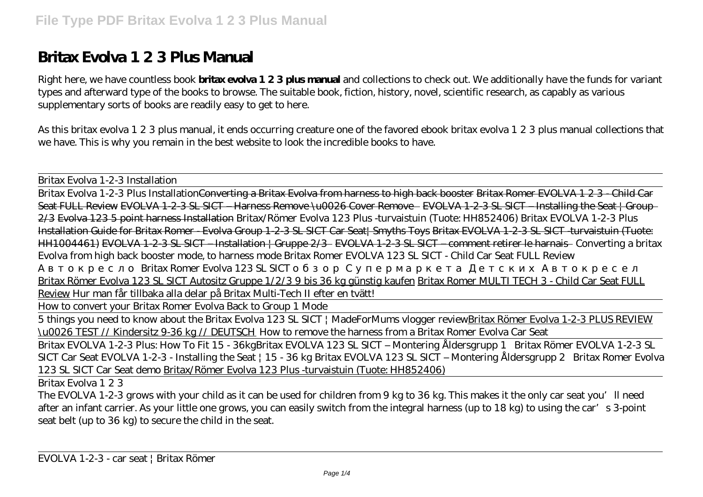## **Britax Evolva 1 2 3 Plus Manual**

Right here, we have countless book **britax evolva 1 2 3 plus manual** and collections to check out. We additionally have the funds for variant types and afterward type of the books to browse. The suitable book, fiction, history, novel, scientific research, as capably as various supplementary sorts of books are readily easy to get to here.

As this britax evolva 1 2 3 plus manual, it ends occurring creature one of the favored ebook britax evolva 1 2 3 plus manual collections that we have. This is why you remain in the best website to look the incredible books to have.

Britax Evolva 1-2-3 Installation

Britax Evolva 1-2-3 Plus InstallationConverting a Britax Evolva from harness to high back booster Britax Romer EVOLVA 1 2 3 - Child Car Seat FULL Review EVOLVA 1-2-3 SL SICT – Harness Remove \u0026 Cover Remove - EVOLVA 1-2-3 SL SICT – Installing the Seat | Group-2/3 Evolva 123 5 point harness Installation Britax/Römer Evolva 123 Plus -turvaistuin (Tuote: HH852406) Britax EVOLVA 1-2-3 Plus Installation Guide for Britax Romer - Evolva Group 1-2-3 SL SICT Car Seat| Smyths Toys Britax EVOLVA 1-2-3 SL SICT -turvaistuin (Tuote: HH1004461) EVOLVA 1-2-3 SL SICT – Installation | Gruppe 2/3 EVOLVA 1-2-3 SL SICT – comment retirer le harnais Converting a britax Evolva from high back booster mode, to harness mode *Britax Romer EVOLVA 123 SL SICT - Child Car Seat FULL Review*

Britax Romer Evolva 123 SL SICT

Britax Römer Evolva 123 SL SICT Autositz Gruppe 1/2/3 9 bis 36 kg günstig kaufen Britax Romer MULTI TECH 3 - Child Car Seat FULL Review Hur man får tillbaka alla delar på Britax Multi-Tech II efter en tvätt!

How to convert your Britax Romer Evolva Back to Group 1 Mode

5 things you need to know about the Britax Evolva 123 SL SICT | MadeForMums vlogger reviewBritax Römer Evolva 1-2-3 PLUS REVIEW \u0026 TEST // Kindersitz 9-36 kg // DEUTSCH How to remove the harness from a Britax Romer Evolva Car Seat

Britax EVOLVA 1-2-3 Plus: How To Fit 15 - 36kg*Britax EVOLVA 123 SL SICT – Montering Åldersgrupp 1* Britax Römer EVOLVA 1-2-3 SL SICT Car Seat *EVOLVA 1-2-3 - Installing the Seat | 15 - 36 kg Britax EVOLVA 123 SL SICT – Montering Åldersgrupp 2 Britax Romer Evolva 123 SL SICT Car Seat demo* Britax/Römer Evolva 123 Plus -turvaistuin (Tuote: HH852406)

Britax Evolva 1 2 3

The EVOLVA 1-2-3 grows with your child as it can be used for children from 9 kg to 36 kg. This makes it the only car seat you'll need after an infant carrier. As your little one grows, you can easily switch from the integral harness (up to 18 kg) to using the car's 3-point seat belt (up to 36 kg) to secure the child in the seat.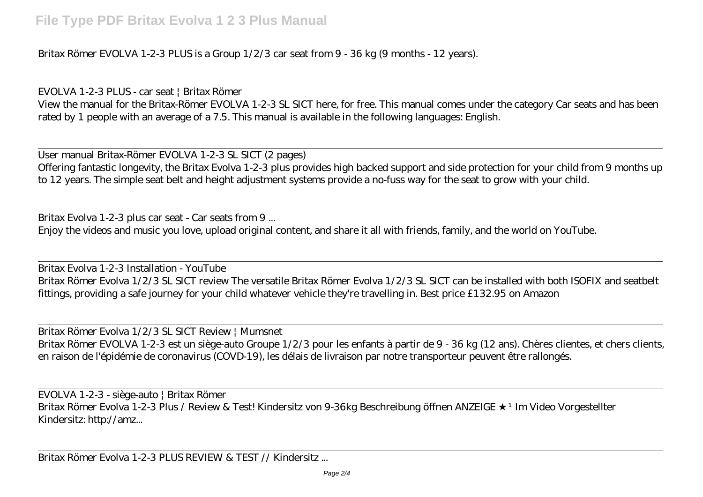Britax Römer EVOLVA 1-2-3 PLUS is a Group 1/2/3 car seat from 9 - 36 kg (9 months - 12 years).

EVOLVA 1-2-3 PLUS - car seat | Britax Römer View the manual for the Britax-Römer EVOLVA 1-2-3 SL SICT here, for free. This manual comes under the category Car seats and has been rated by 1 people with an average of a 7.5. This manual is available in the following languages: English.

User manual Britax-Römer EVOLVA 1-2-3 SL SICT (2 pages) Offering fantastic longevity, the Britax Evolva 1-2-3 plus provides high backed support and side protection for your child from 9 months up to 12 years. The simple seat belt and height adjustment systems provide a no-fuss way for the seat to grow with your child.

Britax Evolva 1-2-3 plus car seat - Car seats from 9 ... Enjoy the videos and music you love, upload original content, and share it all with friends, family, and the world on YouTube.

Britax Evolva 1-2-3 Installation - YouTube Britax Römer Evolva 1/2/3 SL SICT review The versatile Britax Römer Evolva 1/2/3 SL SICT can be installed with both ISOFIX and seatbelt fittings, providing a safe journey for your child whatever vehicle they're travelling in. Best price £132.95 on Amazon

Britax Römer Evolva 1/2/3 SL SICT Review | Mumsnet Britax Römer EVOLVA 1-2-3 est un siège-auto Groupe 1/2/3 pour les enfants à partir de 9 - 36 kg (12 ans). Chères clientes, et chers clients, en raison de l'épidémie de coronavirus (COVD-19), les délais de livraison par notre transporteur peuvent être rallongés.

EVOLVA 1-2-3 - siège-auto | Britax Römer Britax Römer Evolva 1-2-3 Plus / Review & Test! Kindersitz von 9-36kg Beschreibung öffnen ANZEIGE <sup>+</sup> Im Video Vorgestellter Kindersitz: http://amz...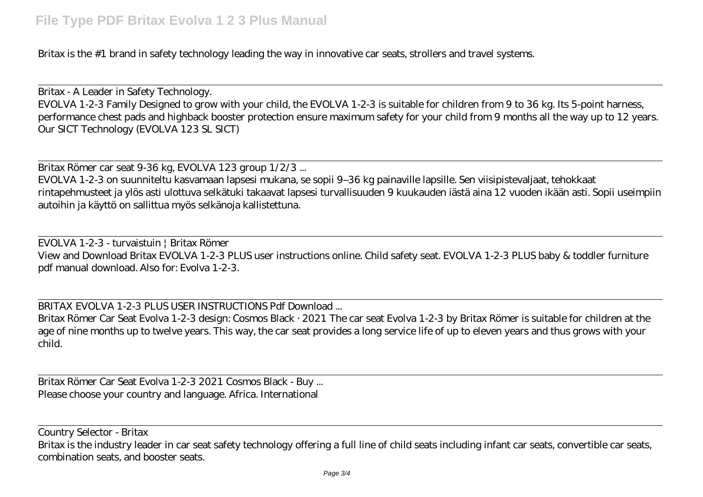Britax is the #1 brand in safety technology leading the way in innovative car seats, strollers and travel systems.

Britax - A Leader in Safety Technology. EVOLVA 1-2-3 Family Designed to grow with your child, the EVOLVA 1-2-3 is suitable for children from 9 to 36 kg. Its 5-point harness, performance chest pads and highback booster protection ensure maximum safety for your child from 9 months all the way up to 12 years. Our SICT Technology (EVOLVA 123 SL SICT)

Britax Römer car seat 9-36 kg, EVOLVA 123 group 1/2/3 ... EVOLVA 1-2-3 on suunniteltu kasvamaan lapsesi mukana, se sopii 9–36 kg painaville lapsille. Sen viisipistevaljaat, tehokkaat rintapehmusteet ja ylös asti ulottuva selkätuki takaavat lapsesi turvallisuuden 9 kuukauden iästä aina 12 vuoden ikään asti. Sopii useimpiin autoihin ja käyttö on sallittua myös selkänoja kallistettuna.

EVOLVA 1-2-3 - turvaistuin | Britax Römer View and Download Britax EVOLVA 1-2-3 PLUS user instructions online. Child safety seat. EVOLVA 1-2-3 PLUS baby & toddler furniture pdf manual download. Also for: Evolva 1-2-3.

BRITAX EVOLVA 1-2-3 PLUS USER INSTRUCTIONS Pdf Download ...

Britax Römer Car Seat Evolva 1-2-3 design: Cosmos Black · 2021 The car seat Evolva 1-2-3 by Britax Römer is suitable for children at the age of nine months up to twelve years. This way, the car seat provides a long service life of up to eleven years and thus grows with your child.

Britax Römer Car Seat Evolva 1-2-3 2021 Cosmos Black - Buy ... Please choose your country and language. Africa. International

Country Selector - Britax

Britax is the industry leader in car seat safety technology offering a full line of child seats including infant car seats, convertible car seats, combination seats, and booster seats.